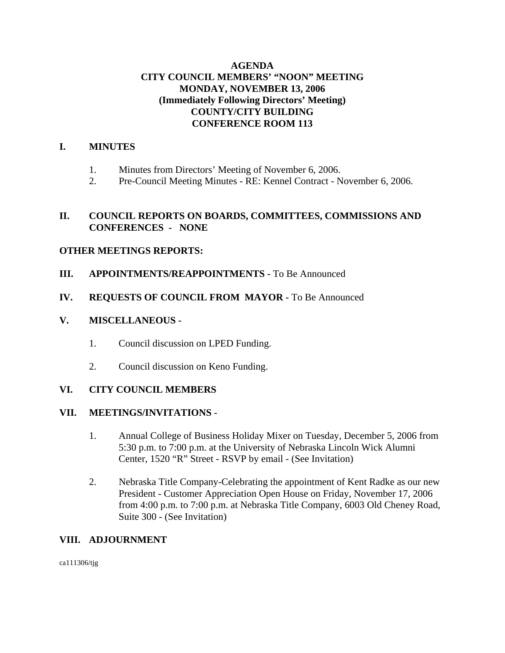## **AGENDA CITY COUNCIL MEMBERS' "NOON" MEETING MONDAY, NOVEMBER 13, 2006 (Immediately Following Directors' Meeting) COUNTY/CITY BUILDING CONFERENCE ROOM 113**

### **I. MINUTES**

- 1. Minutes from Directors' Meeting of November 6, 2006.
- 2. Pre-Council Meeting Minutes RE: Kennel Contract November 6, 2006.

## **II. COUNCIL REPORTS ON BOARDS, COMMITTEES, COMMISSIONS AND CONFERENCES - NONE**

## **OTHER MEETINGS REPORTS:**

- **III.** APPOINTMENTS/REAPPOINTMENTS To Be Announced
- **IV. REQUESTS OF COUNCIL FROM MAYOR -** To Be Announced

## **V. MISCELLANEOUS -**

- 1. Council discussion on LPED Funding.
- 2. Council discussion on Keno Funding.

## **VI. CITY COUNCIL MEMBERS**

#### **VII. MEETINGS/INVITATIONS** -

- 1. Annual College of Business Holiday Mixer on Tuesday, December 5, 2006 from 5:30 p.m. to 7:00 p.m. at the University of Nebraska Lincoln Wick Alumni Center, 1520 "R" Street - RSVP by email - (See Invitation)
- 2. Nebraska Title Company-Celebrating the appointment of Kent Radke as our new President - Customer Appreciation Open House on Friday, November 17, 2006 from 4:00 p.m. to 7:00 p.m. at Nebraska Title Company, 6003 Old Cheney Road, Suite 300 - (See Invitation)

### **VIII. ADJOURNMENT**

ca111306/tjg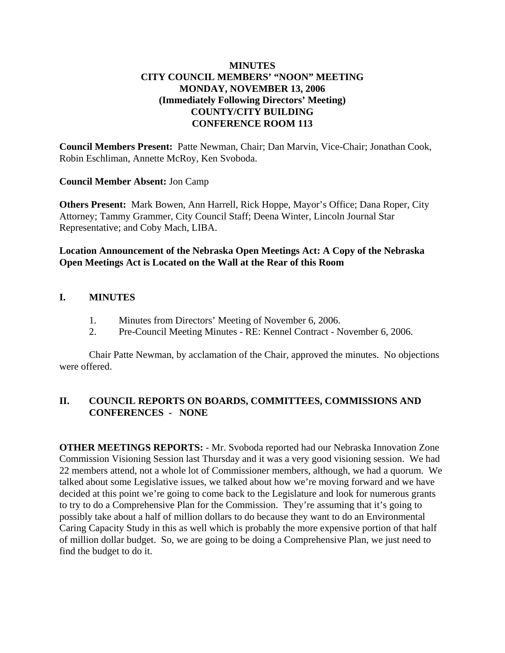## **MINUTES CITY COUNCIL MEMBERS' "NOON" MEETING MONDAY, NOVEMBER 13, 2006 (Immediately Following Directors' Meeting) COUNTY/CITY BUILDING CONFERENCE ROOM 113**

**Council Members Present:** Patte Newman, Chair; Dan Marvin, Vice-Chair; Jonathan Cook, Robin Eschliman, Annette McRoy, Ken Svoboda.

## **Council Member Absent:** Jon Camp

**Others Present:** Mark Bowen, Ann Harrell, Rick Hoppe, Mayor's Office; Dana Roper, City Attorney; Tammy Grammer, City Council Staff; Deena Winter, Lincoln Journal Star Representative; and Coby Mach, LIBA.

## **Location Announcement of the Nebraska Open Meetings Act: A Copy of the Nebraska Open Meetings Act is Located on the Wall at the Rear of this Room**

## **I. MINUTES**

- 1. Minutes from Directors' Meeting of November 6, 2006.
- 2. Pre-Council Meeting Minutes RE: Kennel Contract November 6, 2006.

Chair Patte Newman, by acclamation of the Chair, approved the minutes. No objections were offered.

# **II. COUNCIL REPORTS ON BOARDS, COMMITTEES, COMMISSIONS AND CONFERENCES - NONE**

**OTHER MEETINGS REPORTS:** - Mr. Svoboda reported had our Nebraska Innovation Zone Commission Visioning Session last Thursday and it was a very good visioning session. We had 22 members attend, not a whole lot of Commissioner members, although, we had a quorum. We talked about some Legislative issues, we talked about how we're moving forward and we have decided at this point we're going to come back to the Legislature and look for numerous grants to try to do a Comprehensive Plan for the Commission. They're assuming that it's going to possibly take about a half of million dollars to do because they want to do an Environmental Caring Capacity Study in this as well which is probably the more expensive portion of that half of million dollar budget. So, we are going to be doing a Comprehensive Plan, we just need to find the budget to do it.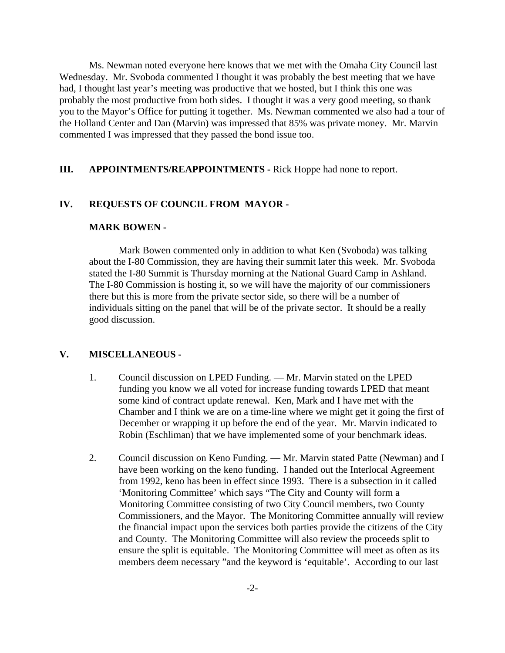Ms. Newman noted everyone here knows that we met with the Omaha City Council last Wednesday. Mr. Svoboda commented I thought it was probably the best meeting that we have had, I thought last year's meeting was productive that we hosted, but I think this one was probably the most productive from both sides. I thought it was a very good meeting, so thank you to the Mayor's Office for putting it together. Ms. Newman commented we also had a tour of the Holland Center and Dan (Marvin) was impressed that 85% was private money. Mr. Marvin commented I was impressed that they passed the bond issue too.

#### **III. APPOINTMENTS/REAPPOINTMENTS -** Rick Hoppe had none to report.

#### **IV. REQUESTS OF COUNCIL FROM MAYOR -**

#### **MARK BOWEN -**

Mark Bowen commented only in addition to what Ken (Svoboda) was talking about the I-80 Commission, they are having their summit later this week. Mr. Svoboda stated the I-80 Summit is Thursday morning at the National Guard Camp in Ashland. The I-80 Commission is hosting it, so we will have the majority of our commissioners there but this is more from the private sector side, so there will be a number of individuals sitting on the panel that will be of the private sector. It should be a really good discussion.

#### **V. MISCELLANEOUS -**

- 1. Council discussion on LPED Funding. Mr. Marvin stated on the LPED funding you know we all voted for increase funding towards LPED that meant some kind of contract update renewal. Ken, Mark and I have met with the Chamber and I think we are on a time-line where we might get it going the first of December or wrapping it up before the end of the year. Mr. Marvin indicated to Robin (Eschliman) that we have implemented some of your benchmark ideas.
- 2. Council discussion on Keno Funding. Mr. Marvin stated Patte (Newman) and I have been working on the keno funding. I handed out the Interlocal Agreement from 1992, keno has been in effect since 1993. There is a subsection in it called 'Monitoring Committee' which says "The City and County will form a Monitoring Committee consisting of two City Council members, two County Commissioners, and the Mayor. The Monitoring Committee annually will review the financial impact upon the services both parties provide the citizens of the City and County. The Monitoring Committee will also review the proceeds split to ensure the split is equitable. The Monitoring Committee will meet as often as its members deem necessary "and the keyword is 'equitable'. According to our last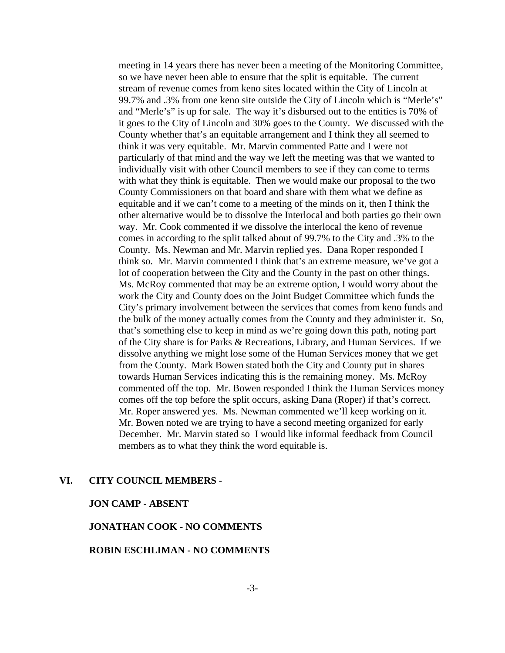meeting in 14 years there has never been a meeting of the Monitoring Committee, so we have never been able to ensure that the split is equitable. The current stream of revenue comes from keno sites located within the City of Lincoln at 99.7% and .3% from one keno site outside the City of Lincoln which is "Merle's" and "Merle's" is up for sale. The way it's disbursed out to the entities is 70% of it goes to the City of Lincoln and 30% goes to the County. We discussed with the County whether that's an equitable arrangement and I think they all seemed to think it was very equitable. Mr. Marvin commented Patte and I were not particularly of that mind and the way we left the meeting was that we wanted to individually visit with other Council members to see if they can come to terms with what they think is equitable. Then we would make our proposal to the two County Commissioners on that board and share with them what we define as equitable and if we can't come to a meeting of the minds on it, then I think the other alternative would be to dissolve the Interlocal and both parties go their own way. Mr. Cook commented if we dissolve the interlocal the keno of revenue comes in according to the split talked about of 99.7% to the City and .3% to the County. Ms. Newman and Mr. Marvin replied yes. Dana Roper responded I think so. Mr. Marvin commented I think that's an extreme measure, we've got a lot of cooperation between the City and the County in the past on other things. Ms. McRoy commented that may be an extreme option, I would worry about the work the City and County does on the Joint Budget Committee which funds the City's primary involvement between the services that comes from keno funds and the bulk of the money actually comes from the County and they administer it. So, that's something else to keep in mind as we're going down this path, noting part of the City share is for Parks & Recreations, Library, and Human Services. If we dissolve anything we might lose some of the Human Services money that we get from the County. Mark Bowen stated both the City and County put in shares towards Human Services indicating this is the remaining money. Ms. McRoy commented off the top. Mr. Bowen responded I think the Human Services money comes off the top before the split occurs, asking Dana (Roper) if that's correct. Mr. Roper answered yes. Ms. Newman commented we'll keep working on it. Mr. Bowen noted we are trying to have a second meeting organized for early December. Mr. Marvin stated so I would like informal feedback from Council members as to what they think the word equitable is.

#### **VI. CITY COUNCIL MEMBERS** -

#### **JON CAMP - ABSENT**

#### **JONATHAN COOK - NO COMMENTS**

#### **ROBIN ESCHLIMAN - NO COMMENTS**